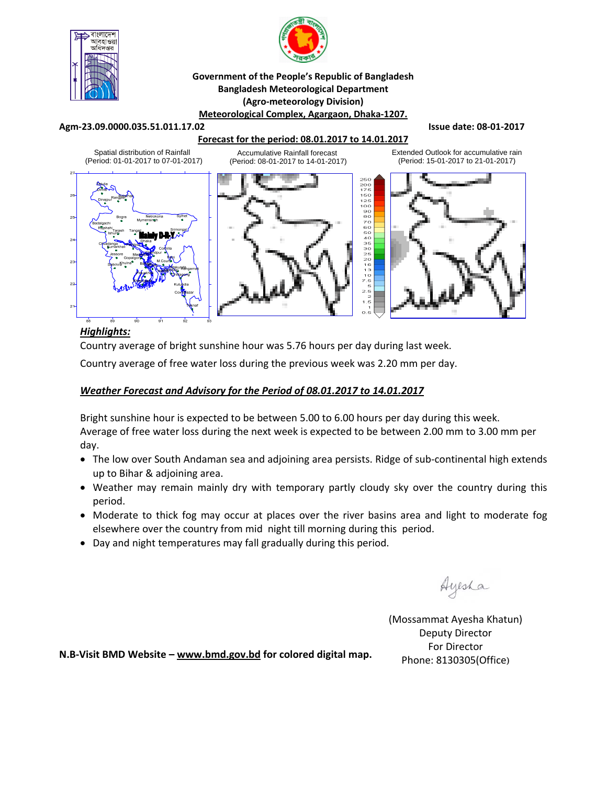



#### **Government of the People's Republic of Bangladesh Bangladesh Meteorological Department (Agro‐meteorology Division) Meteorological Complex, Agargaon, Dhaka‐1207.**

#### **Agm‐23.09.0000.035.51.011.17.02 Issue date: 08‐01‐2017**

## **Forecast for the period: 08.01.2017 to 14.01.2017**





Extended Outlook for accumulative rain (Period: 15-01-2017 to 21-01-2017)



# *Highlights:*

Country average of bright sunshine hour was 5.76 hours per day during last week.

Country average of free water loss during the previous week was 2.20 mm per day.

## *Weather Forecast and Advisory for the Period of 08.01.2017 to 14.01.2017*

Bright sunshine hour is expected to be between 5.00 to 6.00 hours per day during this week. Average of free water loss during the next week is expected to be between 2.00 mm to 3.00 mm per day.

- The low over South Andaman sea and adjoining area persists. Ridge of sub-continental high extends up to Bihar & adjoining area.
- Weather may remain mainly dry with temporary partly cloudy sky over the country during this period.
- Moderate to thick fog may occur at places over the river basins area and light to moderate fog elsewhere over the country from mid night till morning during this period.
- Day and night temperatures may fall gradually during this period.

Ayesha

(Mossammat Ayesha Khatun) Deputy Director For Director Phone: 8130305(Office)

**N.B‐Visit BMD Website – www.bmd.gov.bd for colored digital map.**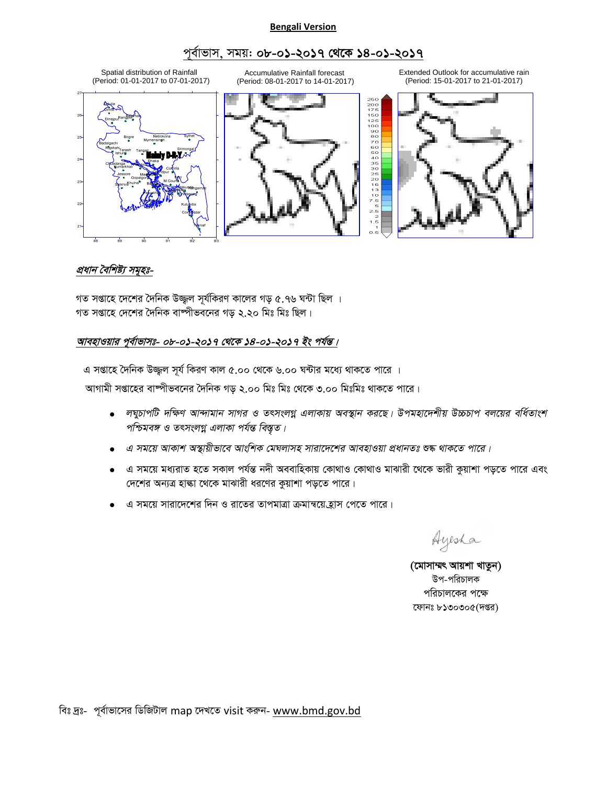#### **Bengali Version**

# পূৰ্বাভাস, সময়: **০৮-০১-২০১৭ থেকে ১৪-০১-২০১৭**



# প্ৰধান বৈশিষ্ট্য সম<del>ূ</del>হঃ-

গত সপ্তাহে দেশের দৈনিক উজ্জুল সূর্যকিরণ কালের গড় ৫.৭৬ ঘন্টা ছিল । গত সপ্তাহে দেশের দৈনিক বাষ্পীভবনের গড ২.২০ মিঃ মিঃ ছিল।

## আবহাওয়ার পূর্বাভাসঃ- ০৮-০**১-২০১৭ থেকে ১৪-০১-২০১৭ ইং পর্যন্ত**।

এ সপ্তাহে দৈনিক উজ্জুল সূর্য কিরণ কাল ৫.০০ থেকে ৬.০০ ঘন্টার মধ্যে থাকতে পারে ।

আগামী সপ্তাহের বাষ্পীভবনের দৈনিক গড় ২.০০ মিঃ মিঃ থেকে ৩.০০ মিঃমিঃ থাকতে পারে।

- $\bullet$  লঘুচাপটি দক্ষিণ আন্দামান সাগর ও তৎসংলগ্ন এলাকায় অবস্থান করছে। উপমহাদেশীয় উচ্চচাপ বলয়ের বর্ধিতাংশ পশ্চিমবঙ্গ ও তৎসংলগ্ন এলাকা পৰ্যন্ত বিস্তৃত।
- *G mg‡q AvKvk A¯'vqxfv‡e AvswkK †gNjvmn mviv‡`‡ki AvenvIqv cÖavbZt ﮋ \_vK‡Z cv‡i|*
- এ সময়ে মধ্যরাত হতে সকাল পর্যন্ত নদী অববাহিকায় কোথাও কোথাও মাঝারী থেকে ভারী কুয়াশা পড়তে পারে এবং দেশের অন্যত্র হাল্কা থেকে মাঝারী ধরণের কুয়াশা পড়তে পারে।
- এ সময়ে সারাদেশের দিন ও রাতের তাপমাত্রা ক্রমান্বয়ে হ্রাস পেতে পারে।

Ayesha

(মোসাম্মৎ আয়শা খাতুন) উপ-পরিচালক পরিচালকের পক্ষে ফোনঃ  $b$ ১৩০৩০ $c($ দপ্তর)